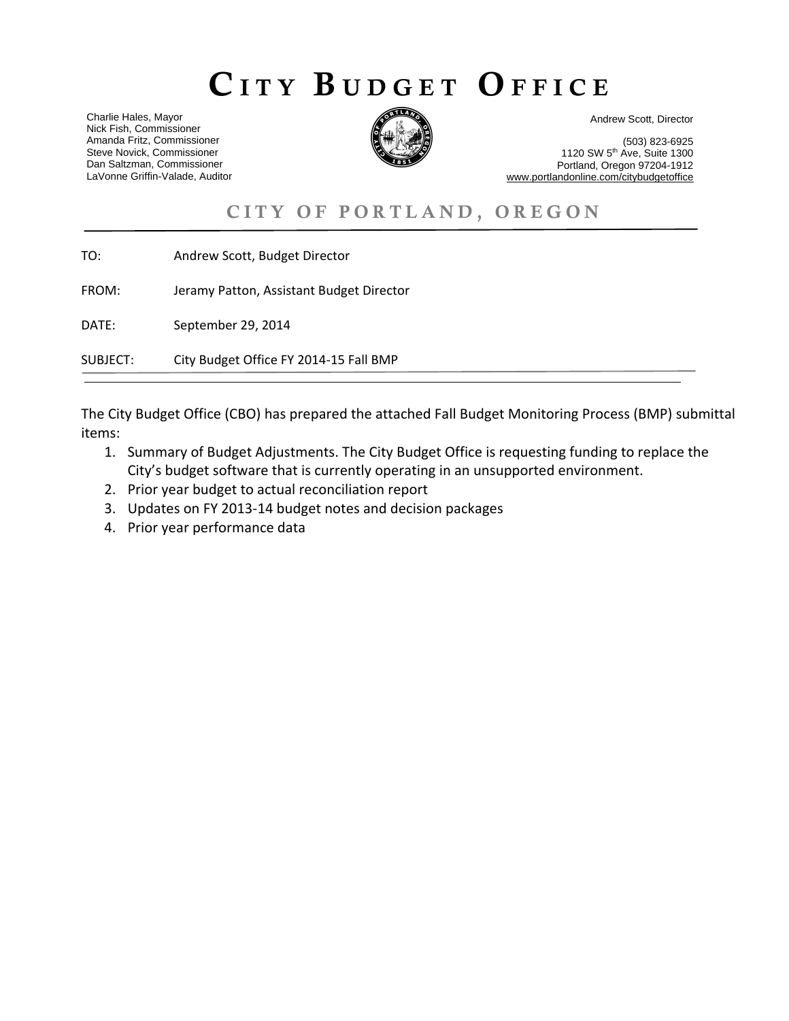# CITY BUDGET OFFICE

Charlie Hales, Mayor Nick Fish, Commissioner Amanda Fritz, Commissioner Steve Novick, Commissioner Dan Saltzman, Commissioner LaVonne Griffin-Valade, Auditor



Andrew Scott, Director

 (503) 823-6925 1120 SW 5th Ave, Suite 1300 Portland, Oregon 97204-1912 www.portlandonline.com/citybudgetoffice

# CITY OF PORTLAND, OREGON

| SUBJECT: | City Budget Office FY 2014-15 Fall BMP   |
|----------|------------------------------------------|
| DATE:    | September 29, 2014                       |
| FROM:    | Jeramy Patton, Assistant Budget Director |
| TO:      | Andrew Scott, Budget Director            |

The City Budget Office (CBO) has prepared the attached Fall Budget Monitoring Process (BMP) submittal items:

- 1. Summary of Budget Adjustments. The City Budget Office is requesting funding to replace the City's budget software that is currently operating in an unsupported environment.
- 2. Prior year budget to actual reconciliation report
- 3. Updates on FY 2013‐14 budget notes and decision packages
- 4. Prior year performance data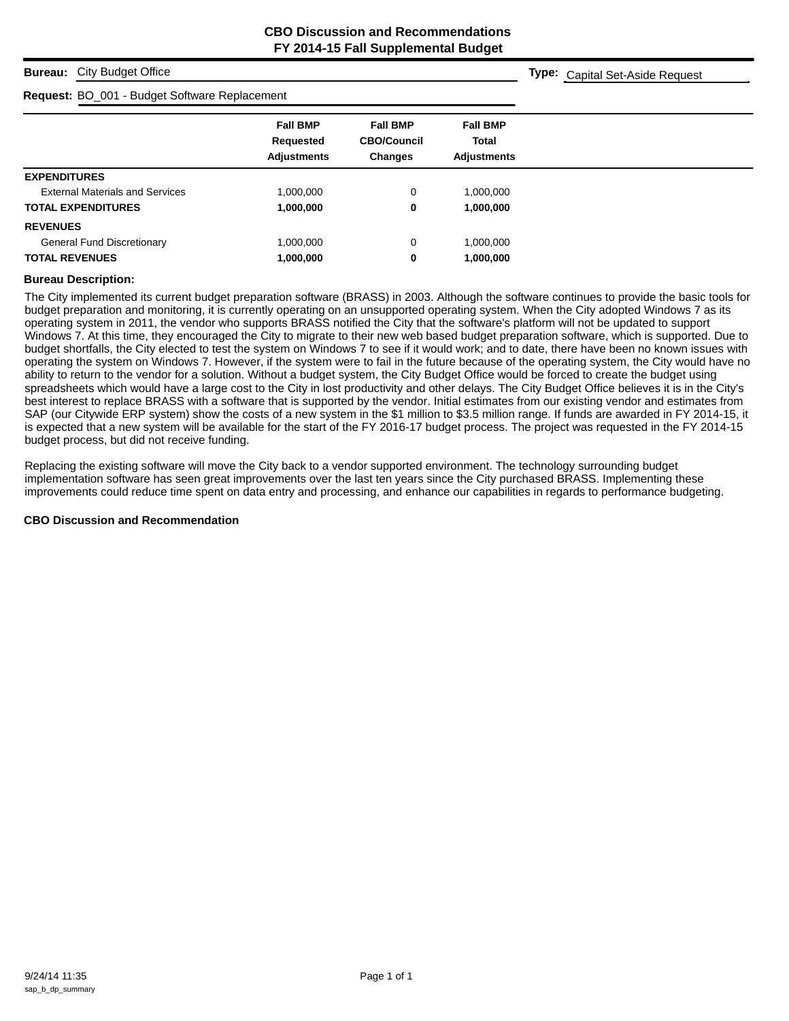**Type:** Capital Set-Aside Request

#### **Bureau:** City Budget Office

#### **Request:** BO\_001 - Budget Software Replacement

| <b>Request.</b> DO_001 - Duaget Conware Replacement |                                                    |                                                         |                                                       |
|-----------------------------------------------------|----------------------------------------------------|---------------------------------------------------------|-------------------------------------------------------|
|                                                     | <b>Fall BMP</b><br>Requested<br><b>Adjustments</b> | <b>Fall BMP</b><br><b>CBO/Council</b><br><b>Changes</b> | <b>Fall BMP</b><br><b>Total</b><br><b>Adjustments</b> |
|                                                     |                                                    |                                                         |                                                       |
| <b>EXPENDITURES</b>                                 |                                                    |                                                         |                                                       |
| <b>External Materials and Services</b>              | 1,000,000                                          | 0                                                       | 1,000,000                                             |
| <b>TOTAL EXPENDITURES</b>                           | 1,000,000                                          | 0                                                       | 1,000,000                                             |
| <b>REVENUES</b>                                     |                                                    |                                                         |                                                       |
| <b>General Fund Discretionary</b>                   | 1,000,000                                          | 0                                                       | 1,000,000                                             |
| <b>TOTAL REVENUES</b>                               | 1,000,000                                          | 0                                                       | 1,000,000                                             |

#### **Bureau Description:**

The City implemented its current budget preparation software (BRASS) in 2003. Although the software continues to provide the basic tools for budget preparation and monitoring, it is currently operating on an unsupported operating system. When the City adopted Windows 7 as its operating system in 2011, the vendor who supports BRASS notified the City that the software's platform will not be updated to support Windows 7. At this time, they encouraged the City to migrate to their new web based budget preparation software, which is supported. Due to budget shortfalls, the City elected to test the system on Windows 7 to see if it would work; and to date, there have been no known issues with operating the system on Windows 7. However, if the system were to fail in the future because of the operating system, the City would have no ability to return to the vendor for a solution. Without a budget system, the City Budget Office would be forced to create the budget using spreadsheets which would have a large cost to the City in lost productivity and other delays. The City Budget Office believes it is in the City's best interest to replace BRASS with a software that is supported by the vendor. Initial estimates from our existing vendor and estimates from SAP (our Citywide ERP system) show the costs of a new system in the \$1 million to \$3.5 million range. If funds are awarded in FY 2014-15, it is expected that a new system will be available for the start of the FY 2016-17 budget process. The project was requested in the FY 2014-15 budget process, but did not receive funding.

Replacing the existing software will move the City back to a vendor supported environment. The technology surrounding budget implementation software has seen great improvements over the last ten years since the City purchased BRASS. Implementing these improvements could reduce time spent on data entry and processing, and enhance our capabilities in regards to performance budgeting.

#### **CBO Discussion and Recommendation**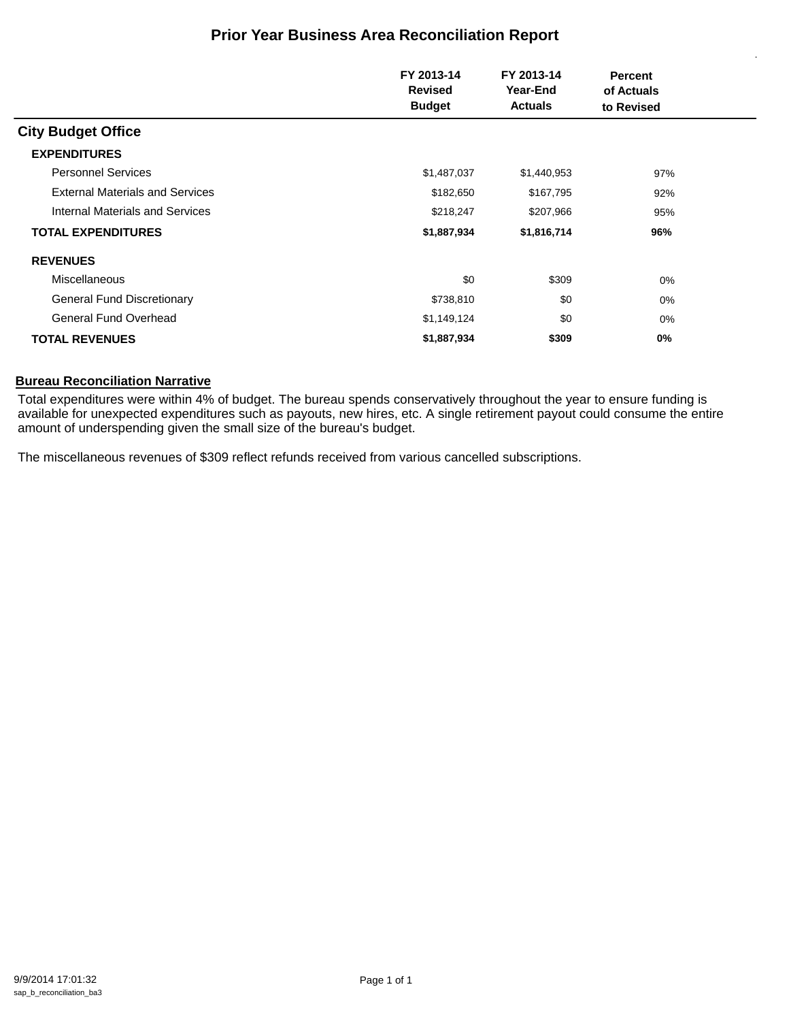## **Prior Year Business Area Reconciliation Report**

|                                        | FY 2013-14<br>FY 2013-14<br><b>Revised</b><br>Year-End<br><b>Budget</b><br><b>Actuals</b> |             | <b>Percent</b><br>of Actuals<br>to Revised |  |
|----------------------------------------|-------------------------------------------------------------------------------------------|-------------|--------------------------------------------|--|
| <b>City Budget Office</b>              |                                                                                           |             |                                            |  |
| <b>EXPENDITURES</b>                    |                                                                                           |             |                                            |  |
| <b>Personnel Services</b>              | \$1,487,037                                                                               | \$1,440,953 | 97%                                        |  |
| <b>External Materials and Services</b> | \$182,650                                                                                 | \$167,795   | 92%                                        |  |
| Internal Materials and Services        | \$218,247                                                                                 | \$207,966   | 95%                                        |  |
| <b>TOTAL EXPENDITURES</b>              | \$1,887,934                                                                               | \$1,816,714 | 96%                                        |  |
| <b>REVENUES</b>                        |                                                                                           |             |                                            |  |
| Miscellaneous                          | \$0                                                                                       | \$309       | 0%                                         |  |
| <b>General Fund Discretionary</b>      | \$738,810                                                                                 | \$0         | 0%                                         |  |
| <b>General Fund Overhead</b>           | \$1,149,124                                                                               | \$0         | 0%                                         |  |
| <b>TOTAL REVENUES</b>                  | \$1,887,934                                                                               | \$309       | 0%                                         |  |

#### **Bureau Reconciliation Narrative**

Total expenditures were within 4% of budget. The bureau spends conservatively throughout the year to ensure funding is available for unexpected expenditures such as payouts, new hires, etc. A single retirement payout could consume the entire amount of underspending given the small size of the bureau's budget.

The miscellaneous revenues of \$309 reflect refunds received from various cancelled subscriptions.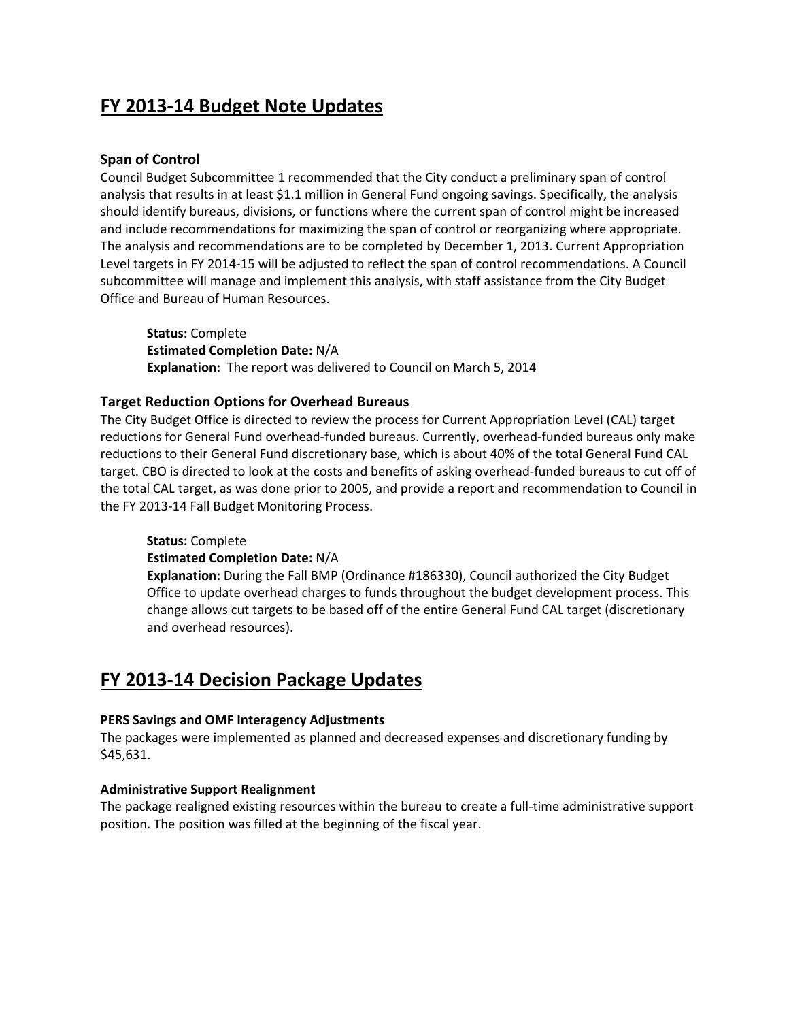# **FY 2013‐14 Budget Note Updates**

## **Span of Control**

Council Budget Subcommittee 1 recommended that the City conduct a preliminary span of control analysis that results in at least \$1.1 million in General Fund ongoing savings. Specifically, the analysis should identify bureaus, divisions, or functions where the current span of control might be increased and include recommendations for maximizing the span of control or reorganizing where appropriate. The analysis and recommendations are to be completed by December 1, 2013. Current Appropriation Level targets in FY 2014‐15 will be adjusted to reflect the span of control recommendations. A Council subcommittee will manage and implement this analysis, with staff assistance from the City Budget Office and Bureau of Human Resources.

**Status:** Complete **Estimated Completion Date:** N/A **Explanation:** The report was delivered to Council on March 5, 2014

## **Target Reduction Options for Overhead Bureaus**

The City Budget Office is directed to review the process for Current Appropriation Level (CAL) target reductions for General Fund overhead‐funded bureaus. Currently, overhead‐funded bureaus only make reductions to their General Fund discretionary base, which is about 40% of the total General Fund CAL target. CBO is directed to look at the costs and benefits of asking overhead-funded bureaus to cut off of the total CAL target, as was done prior to 2005, and provide a report and recommendation to Council in the FY 2013‐14 Fall Budget Monitoring Process.

## **Status:** Complete

**Estimated Completion Date:** N/A

**Explanation:** During the Fall BMP (Ordinance #186330), Council authorized the City Budget Office to update overhead charges to funds throughout the budget development process. This change allows cut targets to be based off of the entire General Fund CAL target (discretionary and overhead resources).

# **FY 2013‐14 Decision Package Updates**

## **PERS Savings and OMF Interagency Adjustments**

The packages were implemented as planned and decreased expenses and discretionary funding by \$45,631.

## **Administrative Support Realignment**

The package realigned existing resources within the bureau to create a full‐time administrative support position. The position was filled at the beginning of the fiscal year.